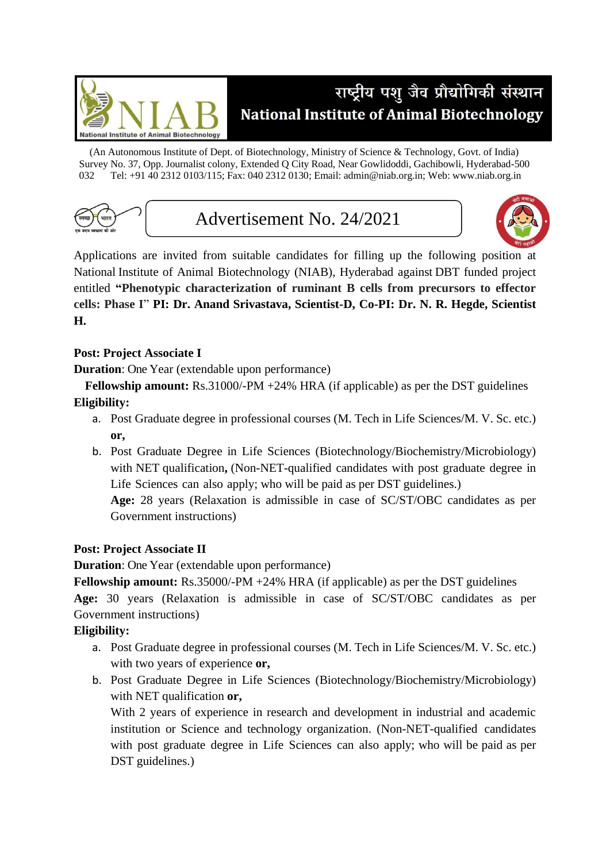

## राष्ट्रीय पशु जैव प्रौद्योगिकी संस्थान **National Institute of Animal Biotechnology**

(An Autonomous Institute of Dept. of Biotechnology, Ministry of Science & Technology, Govt. of India) Survey No. 37, Opp. Journalist colony, Extended Q City Road, Near Gowlidoddi, Gachibowli, Hyderabad-500 032 Tel: +91 40 2312 0103/115; Fax: 040 2312 0130; Email: admin@niab.org.in; Web: [www.niab.org.in](http://www.niab.org.in/)



Advertisement No. 24/2021



Applications are invited from suitable candidates for filling up the following position at National Institute of Animal Biotechnology (NIAB), Hyderabad against DBT funded project entitled **"Phenotypic characterization of ruminant B cells from precursors to effector cells: Phase I**" **PI: Dr. Anand Srivastava, Scientist-D, Co-PI: Dr. N. R. Hegde, Scientist H.** 

## **Post: Project Associate I**

**Duration**: One Year (extendable upon performance)

**Fellowship amount:** Rs.31000/-PM +24% HRA (if applicable) as per the DST guidelines **Eligibility:**

- a. Post Graduate degree in professional courses (M. Tech in Life Sciences/M. V. Sc. etc.) **or,**
- b. Post Graduate Degree in Life Sciences (Biotechnology/Biochemistry/Microbiology) with NET qualification**,** (Non-NET-qualified candidates with post graduate degree in Life Sciences can also apply; who will be paid as per DST guidelines.)

**Age:** 28 years (Relaxation is admissible in case of SC/ST/OBC candidates as per Government instructions)

## **Post: Project Associate II**

**Duration**: One Year (extendable upon performance)

**Fellowship amount:** Rs.35000/-PM +24% HRA (if applicable) as per the DST guidelines

**Age:** 30 years (Relaxation is admissible in case of SC/ST/OBC candidates as per Government instructions)

## **Eligibility:**

- a. Post Graduate degree in professional courses (M. Tech in Life Sciences/M. V. Sc. etc.) with two years of experience **or,**
- b. Post Graduate Degree in Life Sciences (Biotechnology/Biochemistry/Microbiology) with NET qualification **or,**

With 2 years of experience in research and development in industrial and academic institution or Science and technology organization. (Non-NET-qualified candidates with post graduate degree in Life Sciences can also apply; who will be paid as per DST guidelines.)